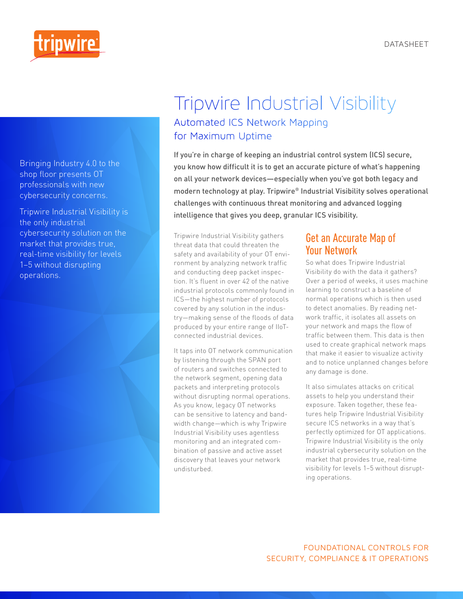

Bringing Industry 4.0 to the shop floor presents OT professionals with new cybersecurity concerns.

Tripwire Industrial Visibility is the only industrial cybersecurity solution on the market that provides true, real-time visibility for levels 1–5 without disrupting operations.



# Tripwire Industrial Visibility Automated ICS Network Mapping for Maximum Uptime

If you're in charge of keeping an industrial control system (ICS) secure, you know how difficult it is to get an accurate picture of what's happening on all your network devices—especially when you've got both legacy and modern technology at play. Tripwire® Industrial Visibility solves operational challenges with continuous threat monitoring and advanced logging intelligence that gives you deep, granular ICS visibility.

Tripwire Industrial Visibility gathers threat data that could threaten the safety and availability of your OT environment by analyzing network traffic and conducting deep packet inspection. It's fluent in over 42 of the native industrial protocols commonly found in ICS—the highest number of protocols covered by any solution in the industry—making sense of the floods of data produced by your entire range of IIoTconnected industrial devices.

It taps into OT network communication by listening through the SPAN port of routers and switches connected to the network segment, opening data packets and interpreting protocols without disrupting normal operations. As you know, legacy OT networks can be sensitive to latency and bandwidth change—which is why Tripwire Industrial Visibility uses agentless monitoring and an integrated combination of passive and active asset discovery that leaves your network undisturbed.

# Get an Accurate Map of Your Network

So what does Tripwire Industrial Visibility do with the data it gathers? Over a period of weeks, it uses machine learning to construct a baseline of normal operations which is then used to detect anomalies. By reading network traffic, it isolates all assets on your network and maps the flow of traffic between them. This data is then used to create graphical network maps that make it easier to visualize activity and to notice unplanned changes before any damage is done.

It also simulates attacks on critical assets to help you understand their exposure. Taken together, these features help Tripwire Industrial Visibility secure ICS networks in a way that's perfectly optimized for OT applications. Tripwire Industrial Visibility is the only industrial cybersecurity solution on the market that provides true, real-time visibility for levels 1–5 without disrupting operations.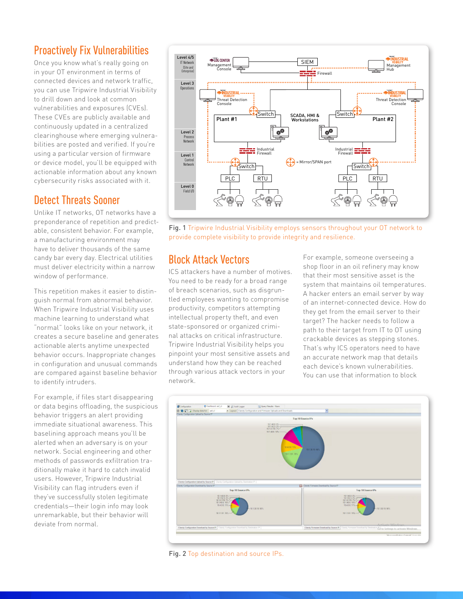# Proactively Fix Vulnerabilities

Once you know what's really going on in your OT environment in terms of connected devices and network traffic, you can use Tripwire Industrial Visibility to drill down and look at common vulnerabilities and exposures (CVEs). These CVEs are publicly available and continuously updated in a centralized clearinghouse where emerging vulnerabilities are posted and verified. If you're using a particular version of firmware or device model, you'll be equipped with actionable information about any known cybersecurity risks associated with it.

# Detect Threats Sooner

Unlike IT networks, OT networks have a preponderance of repetition and predictable, consistent behavior. For example, a manufacturing environment may have to deliver thousands of the same candy bar every day. Electrical utilities must deliver electricity within a narrow window of performance.

This repetition makes it easier to distinguish normal from abnormal behavior. When Tripwire Industrial Visibility uses machine learning to understand what "normal" looks like on your network, it creates a secure baseline and generates actionable alerts anytime unexpected behavior occurs. Inappropriate changes in configuration and unusual commands are compared against baseline behavior to identify intruders.

For example, if files start disappearing or data begins offloading, the suspicious behavior triggers an alert providing immediate situational awareness. This baselining approach means you'll be alerted when an adversary is on your network. Social engineering and other methods of passwords exfiltration traditionally make it hard to catch invalid users. However, Tripwire Industrial Visibility can flag intruders even if they've successfully stolen legitimate credentials—their login info may look unremarkable, but their behavior will deviate from normal.



Fig. 1 Tripwire Industrial Visibility employs sensors throughout your OT network to provide complete visibility to provide integrity and resilience.

# Block Attack Vectors

ICS attackers have a number of motives. You need to be ready for a broad range of breach scenarios, such as disgruntled employees wanting to compromise productivity, competitors attempting intellectual property theft, and even state-sponsored or organized criminal attacks on critical infrastructure. Tripwire Industrial Visibility helps you pinpoint your most sensitive assets and understand how they can be reached through various attack vectors in your network.

For example, someone overseeing a shop floor in an oil refinery may know that their most sensitive asset is the system that maintains oil temperatures. A hacker enters an email server by way of an internet-connected device. How do they get from the email server to their target? The hacker needs to follow a path to their target from IT to OT using crackable devices as stepping stones. That's why ICS operators need to have an accurate network map that details each device's known vulnerabilities. You can use that information to block



Fig. 2 Top destination and source IPs.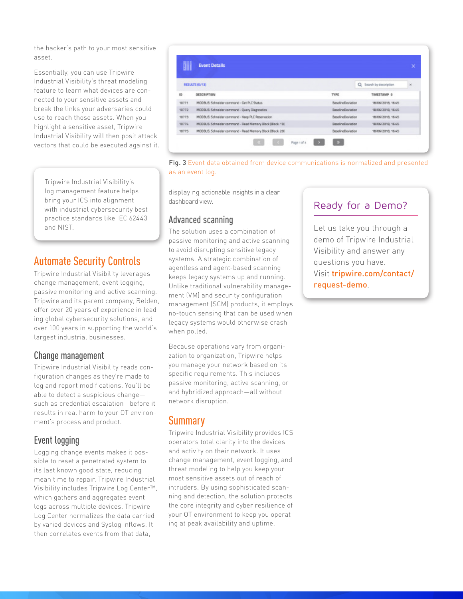the hacker's path to your most sensitive asset.

Essentially, you can use Tripwire Industrial Visibility's threat modeling feature to learn what devices are connected to your sensitive assets and break the links your adversaries could use to reach those assets. When you highlight a sensitive asset, Tripwire Industrial Visibility will then posit attack vectors that could be executed against it.

Tripwire Industrial Visibility's log management feature helps bring your ICS into alignment with industrial cybersecurity best practice standards like IEC 62443 and NIST.

# Automate Security Controls

Tripwire Industrial Visibility leverages change management, event logging, passive monitoring and active scanning. Tripwire and its parent company, Belden, offer over 20 years of experience in leading global cybersecurity solutions, and over 100 years in supporting the world's largest industrial businesses.

#### Change management

Tripwire Industrial Visibility reads configuration changes as they're made to log and report modifications. You'll be able to detect a suspicious change such as credential escalation—before it results in real harm to your OT environment's process and product.

### Event logging

Logging change events makes it possible to reset a penetrated system to its last known good state, reducing mean time to repair. Tripwire Industrial Visibility includes Tripwire Log Center™, which gathers and aggregates event logs across multiple devices. Tripwire Log Center normalizes the data carried by varied devices and Syslog inflows. It then correlates events from that data,

**Event Details** āii RESULTS (S/13) Q Search by description  $\overline{\mathbf{x}}$ opscalamow TYPE TIMESTAMP 0 in. 10771 MODBUS: Schneider command - Get PLC Status 18/06/2018 1645 **BaselineDeviation** 10772 MODBUS: Schneider command - Query Diagnostics **BaselineDeviation** 18/06/2018, 16:45 10773 MODBUS: Schneider command - Keep PLC Reservation **BaselineDeviation** 18/06/2018 16:45 10776 MODBUS: Schneider command - Read Memory Block (Block: 19) **BaselineDeviation** 19/05/2018, 16:45 10775 MODBUS: Schneider command - Read Memory Block (Block: 20) **BaselineDeviation** 18/06/2018, 16:45  $\mathbf{p}$ Page 1 of 1



displaying actionable insights in a clear dashboard view.

#### Advanced scanning

The solution uses a combination of passive monitoring and active scanning to avoid disrupting sensitive legacy systems. A strategic combination of agentless and agent-based scanning keeps legacy systems up and running. Unlike traditional vulnerability management (VM) and security configuration management (SCM) products, it employs no-touch sensing that can be used when legacy systems would otherwise crash when polled.

Because operations vary from organization to organization, Tripwire helps you manage your network based on its specific requirements. This includes passive monitoring, active scanning, or and hybridized approach—all without network disruption.

### **Summary**

Tripwire Industrial Visibility provides ICS operators total clarity into the devices and activity on their network. It uses change management, event logging, and threat modeling to help you keep your most sensitive assets out of reach of intruders. By using sophisticated scanning and detection, the solution protects the core integrity and cyber resilience of your OT environment to keep you operating at peak availability and uptime.

# Ready for a Demo?

Let us take you through a demo of Tripwire Industrial Visibility and answer any questions you have. Visit tripwire.com/contact/ request-demo.